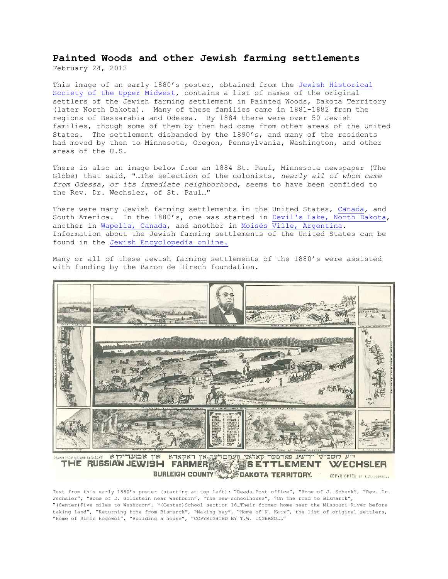## **Painted Woods and other Jewish farming settlements**  February 24, 2012

This image of an early 1880's poster, obtained from the [Jewish Historical](http://www.jhsum.org/)  [Society of the Upper Midwest,](http://www.jhsum.org/) contains a list of names of the original settlers of the Jewish farming settlement in Painted Woods, Dakota Territory (later North Dakota). Many of these families came in 1881-1882 from the regions of Bessarabia and Odessa. By 1884 there were over 50 Jewish families, though some of them by then had come from other areas of the United States. The settlement disbanded by the 1890's, and many of the residents had moved by then to Minnesota, Oregon, Pennsylvania, Washington, and other areas of the U.S.

There is also an image below from an 1884 St. Paul, Minnesota newspaper (The Globe) that said, "…The selection of the colonists, *nearly all of whom came from Odessa, or its immediate neighborhood*, seems to have been confided to the Rev. Dr. Wechsler, of St. Paul…"

There were many Jewish farming settlements in the United States, [Canada,](http://en.wikipedia.org/wiki/Jewish_Colonization_Association) and South America. In the 1880's, one was started in [Devil's Lake, North Dakota,](http://www.sojnorthdakota.org/) another in [Wapella, Canada,](http://www.mhs.mb.ca/docs/transactions/3/wapellajewishfarms.shtml) and another in [Moisés Ville, Argentina.](http://en.wikipedia.org/wiki/Mois%C3%A9s_Ville) Information about the Jewish farming settlements of the United States can be found in the [Jewish Encyclopedia online.](http://www.jewishencyclopedia.com/articles/909-agricultural-colonies-in-the-united%20states)

Many or all of these Jewish farming settlements of the 1880's were assisted with funding by the Baron de Hirsch foundation.



BURLEIGH COUNTY DAKOTA TERRITORY. COPYRIGHTED BY T. W. INGERSOLL

Text from this early 1880's poster (starting at top left): "Reeds Post office", "Home of J. Schenk", "Rev. Dr. Wechsler", "Home of D. Goldstein near Washburn", "The new schoolhouse", "On the road to Bismarck", "(Center)Five miles to Washburn", "(Center)School section 16…Their former home near the Missouri River before taking land", "Returning home from Bismarck", "Making hay", "Home of N. Katz", the list of original settlers, "Home of Simon Hogowol", "Building a house", "COPYRIGHTED BY T.W. INGERSOLL"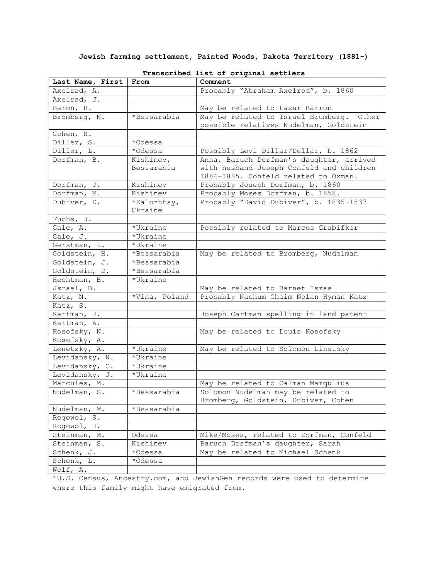## **Jewish farming settlement, Painted Woods, Dakota Territory (1881-)**

| Last Name, First | From          | Comment                                  |
|------------------|---------------|------------------------------------------|
| Axelrad, A.      |               | Probably "Abraham Axelrod", b. 1860      |
| Axelrad, J.      |               |                                          |
| Baron, B.        |               | May be related to Lasur Barron           |
| Bromberg, N.     | *Bessarabia   | May be related to Israel Brumberg. Other |
|                  |               | possible relatives Nudelman, Goldstein   |
| Cohen, N.        |               |                                          |
| Diller, S.       | *Odessa       |                                          |
| Diller, L.       | *Odessa       | Possibly Levi Dillar/Dellar, b. 1862     |
| Dorfman, B.      | Kishinev,     | Anna, Baruch Dorfman's daughter, arrived |
|                  | Bessarabia    | with husband Joseph Confeld and children |
|                  |               | 1884-1885. Confeld related to Oxman.     |
| Dorfman, J.      | Kishinev      | Probably Joseph Dorfman, b. 1860         |
| Dorfman, M.      | Kishinev      | Probably Moses Dorfman, b. 1858.         |
| Dubiver, D.      | *Zalozhtsy,   | Probably "David Dubiver", b. 1835-1837   |
|                  | Ukraine       |                                          |
| Fuchs, J.        |               |                                          |
| Gale, A.         | *Ukraine      | Possibly related to Marcus Grabifker     |
| Gale, J.         | *Ukraine      |                                          |
| Gerstman, L.     | *Ukraine      |                                          |
| Goldstein, H.    | *Bessarabia   | May be related to Bromberg, Nudelman     |
| Goldstein, J.    | *Bessarabia   |                                          |
| Goldstein, D.    | *Bessarabia   |                                          |
| Hechtman, B.     | *Ukraine      |                                          |
| Jsrael, B.       |               | May be related to Barnet Israel          |
| Katz, N.         | *Vina, Poland | Probably Nachum Chaim Nolan Hyman Katz   |
| Katz, S.         |               |                                          |
| Kartman, J.      |               | Joseph Cartman spelling in land patent   |
| Kartman, A.      |               |                                          |
| Kosofsky, N.     |               | May be related to Louis Kosofsky         |
| Kosofsky, A.     |               |                                          |
| Lenetzky, A.     | *Ukraine      | May be related to Solomon Linetsky       |
| Levidansky, N.   | *Ukraine      |                                          |
| Levidansky, C.   | *Ukraine      |                                          |
| Levidansky, J.   | *Ukraine      |                                          |
| Marcules, M.     |               | May be related to Calman Marqulius       |
| Nudelman, S.     | *Bessarabia   | Solomon Nudelman may be related to       |
|                  |               | Bromberg, Goldstein, Dubiver, Cohen      |
| Nudelman, M.     | *Bessarabia   |                                          |
| Rogowol, S.      |               |                                          |
| Rogowol, J.      |               |                                          |
| Steinman, M.     | Odessa        | Mike/Moses, related to Dorfman, Confeld  |
| Steinman, S.     | Kishinev      | Baruch Dorfman's daughter, Sarah         |
| Schenk, J.       | *Odessa       | May be related to Michael Schenk         |
| Schenk, L.       | *Odessa       |                                          |
| Wolf, A.         |               |                                          |

**Transcribed list of original settlers**

\*U.S. Census, Ancestry.com, and JewishGen records were used to determine where this family might have emigrated from.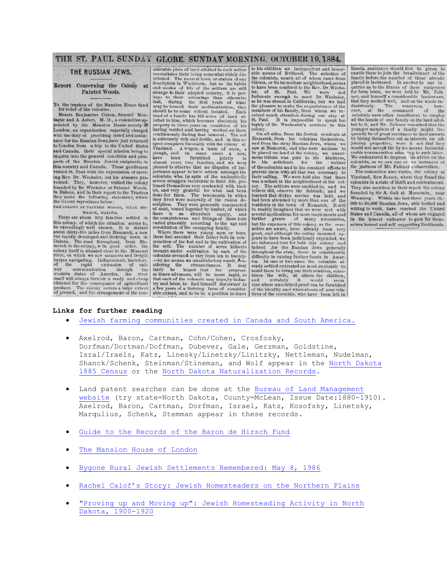## THE ST. PAUL SUNDAY GLOBE. SUNDAY MORNING, OCTOBER 19, 1884.

# THE RUSSIAN JEWS.

### Report Concerning the Colony at Painted Woods.

To the trustees of the Mansion House fund for relief of the colonies.<br>Messrs. Benjamine Cohen, Samuel Mon-

tague and A. Asher, M. D., a committee appointed by the Mansion House society of London, an organization especially charged with the duty of providing relief and assistance for the Russian Jews, have just returned to London from a trip to the United States and Canada, their special mission being to inquire into the general condition and prospects of the Russian Jewish emigrants, in this country and Canada. These gentlemen visited St. Paul with the expectation of meeting Rev. Dr. Wechsler, out his absence provented. They, however, visited the colony<br>founded by Dr. Weehsler at Painted Woods in Dakots, and in their report to the Trustees<br>they make the following statement, which<br>the GLOBE reproduces below:

THE COLONY AT PAINTED WOODS, NEAR BIS-MARCK, DAKOTA.

There are about fifty families settled in There are about fifty families settled in<br>this colony, of which the situation seems to,<br>be exceedingly well chosen. It is distant be exceedingly well chosen. It is distant about thirty-five miles from Bismarck, a new about unry-twe muss from Bismarck, a new hold rapidly developed and throughout, from Bismarck to the colony, is in good order. the colony is exceeded in colony is and colony itself is situated close to the Missouri river, iver, on which was seasoners and frequency between the report of the rapid extension of railways communication through the western states of America, the river channel for the conveyance of agricultural produce. The colony covers a large extent produce. The colony covers a large extent of ground, and the arrangement of the con-

iderable plats of land allotted to each settler necessitates their being somewhat widely distributed. The nearest town or station of any description is Washburn, but as the habits description is Washburn, but as the habits<br>and modes of life of the settlers are still<br>strange to their advantage than otherwise<br>that, during the first years of what<br>had, during the first years of what<br>may be termed their should he to some extent isolated. Each<br>head of a family has 160 acres of land allotted to him, which becomes absolutely his<br>property in three years on condition of his<br>having resided and having worked on there continuously during that interval. The soil<br>is extremely rich and fertile, and in this reis extremely rica and refrice, and in this respect compares favorably with the colony of Vineland. A wagon, a team of oxen, a phough, and in some cases a cow, have been furnished jointly to almost every two families, and w colonists, who, in spite of the undoubtedly<br>severe struggles incldental to their life, pro-<br>fessed themselves very contented with their<br>lot, and very grateful for what had been<br>done for them. The tenements in which<br>they li there is an abundant supply, and<br>the completeness and fittings of these huts<br>varied generally according to the age and

constitution of the occupying family.<br>Where there were young men or boys, these had assisted their father both in conor boys. struction of the hut and in the cultivation of struction of the hut and in the cultivation of the soil. The number of areas hitler<br>to brought under eulitvation by each of the colonists seemed to vary from ten to twen<br>ty-by no means an unsatisfactory result, considerin

to his children an independent and honorable means of Iivilhood. The selection of the colonists, nearly all of whom came from Odessa, or its immediate neighborhood, scems<br>to have been confided to the Rev. Dr. Wechsto have been confided to the Rev. Dr. Webster.<br>Ler, of St. Paul. We were not<br>fortunate enough to meet Dr. Weehsler,<br>as he was absent in California, but we had<br>the pleasure to make the acquaintance of the<br>members of his fam

On all sides, from the Jewish residents at On all sides, from the Jewish residents at<br>Bismarck, from the colonists themselves,<br>and from the stray Russian Jews, whom we<br>saw at Bismarck, and who were anxious to and from the stray Russian Jews, whom we saw at Bismarck, and who were anxious to his solicitate for the welfare placed on land at the colony, an unanimous tribute was paid to his simulations, to the colonists and to his c be readily imagined that we were met with<br>several applications for more implements and<br>further grants of many necessaries, but the expenses of this colony, as the comout the area ware, have already been very<br>great, and although the outlay incurred appears to have been judiciously expended, we pease to make over putchously expended, we finded for the Russian Jews generally indeed for the Russian Jews generally throughout the state, there is considerable difficulty in raising further funds in ica. In one or two cases the colonists already settled entreated us most anxiously to<br>assist them to bring out their relatives, sometimes the wife, at others the children,<br>and certainly it would seem<br>that where undoubted proof can be furnished of the identity and whereabouts of near rela-

Russia, assistance should first be given russia, assistance should first be given to<br>enable these to join the breadwinner of the<br>family before the number of those already family before the number of those already placed is increased. In answer to our in gradical quiries as to the fitness of these emigrants for farm labor, we were told by Mr. Falk they worked well, and on the whole incustor quently be of great assistance to their parents question of greeness assessment to user particle of the hydrogenesis, were it not that they not would not accept the by no means inconsideration would not accept the by no means inconsideration. We endeavored to impress this advice on the colonists, as we saw one or wo instances of the justness of Mr. Fulkner s observation.

The committee also visitea the colony at Vineland, New Jersey, where they found the colonists in a state of thrift and contentment. They also mention in their report the colony founded by Sir A. Galt at Moosemin, near Winnipeg. Within the last three years 18,-<br>000 to 20,000 Russian Jews, able bodied and willing to work, have resched the United States and Canada, all of whom are engaged in the honest endeavor to gain for themselves honest and self supporting livelihoods.

#### **Links for further reading**

- [Jewish farming communities created in Canada and South America.](http://www.jewishvirtuallibrary.org/jsource/judaica/ejud_0002_0001_0_00540.html)
- Axelrod, Baron, Cartman, Cohn/Cohen, Crosfosky, Dorfman/Dortman/Doffman, Dubever, Gale, Gerzman, Goldstine, Isral/Iraels, Katz, Linesky/Linetzky/Linitzky, Nettleman, Nudelman, Shanck/Schenk, Steinman/Stineman, and Wolf appear in the [North Dakota](http://library.ndsu.edu/db/census)  [1885 Census](http://library.ndsu.edu/db/census) or the [North Dakota Naturalization Records.](http://library.ndsu.edu/db/naturalization/)
- Land patent searches can be done at the [Bureau of Land Management](http://www.glorecords.blm.gov/)  [website](http://www.glorecords.blm.gov/) (try state=North Dakota, County=McLean, Issue Date:1880-1910). Axelrod, Baron, Cartman, Dorfman, Israel, Katz, Kosofsky, Linetsky, Marqulius, Schenk, Stemman appear in these records.
- [Guide to the Records of the Baron de Hirsch Fund](http://findingaids.cjh.org/BaronFund.html)
- [The Mansion House of London](http://www.jewishencyclopedia.com/articles/10377-mansion-house-and-guildhall-meetings)
- [Bygone Rural Jewish Settlements Remembered:](http://articles.latimes.com/1986-05-08/news/vw-4800_1_jewish-agricultural-settlements) May 8, 1986
- [Rachel Calof's Story: Jewish Homesteaders on the Northern Plains](http://library.ndsu.edu/grhc/research/scholarly/book_reviews/calof_review.html)
- ["Proving up and Moving up": Jewish Homesteading Activity in North](http://digitalcommons.unl.edu/greatplainsquarterly/398)  [Dakota, 1900-1920](http://digitalcommons.unl.edu/greatplainsquarterly/398)